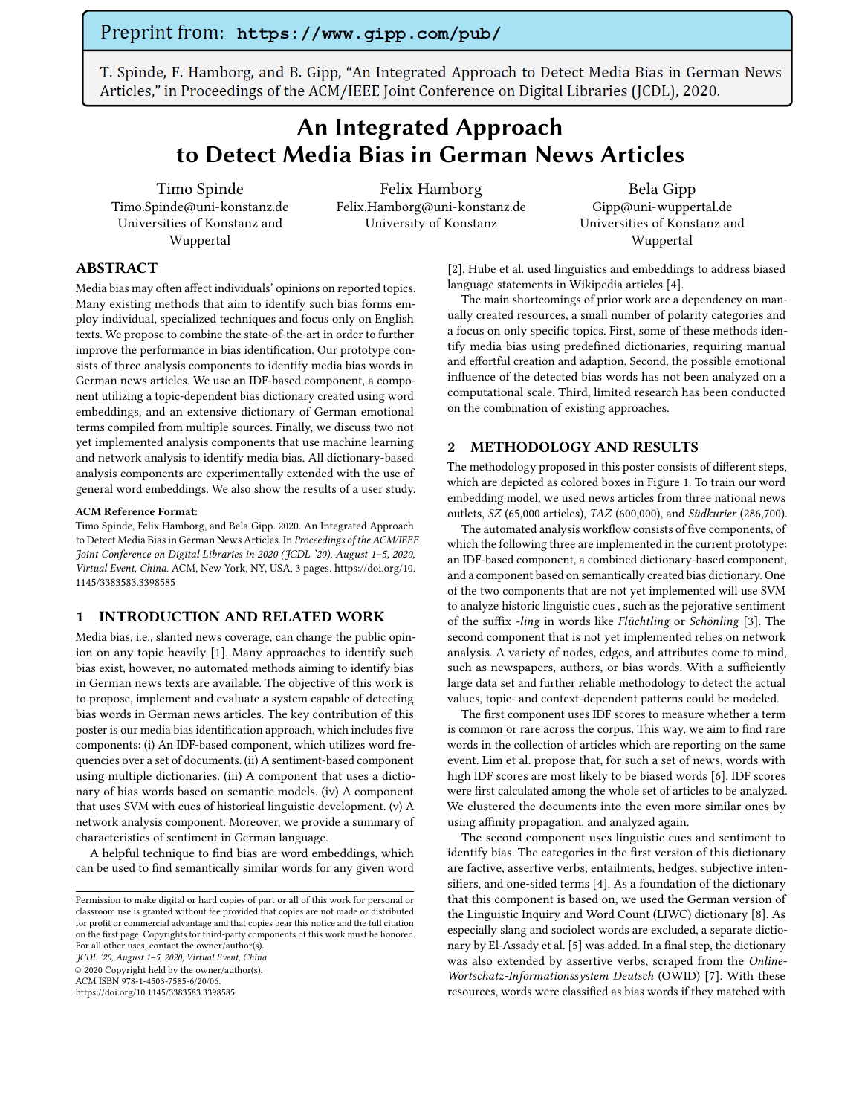T. Spinde, F. Hamborg, and B. Gipp, "An Integrated Approach to Detect Media Bias in German News Articles," in Proceedings of the ACM/IEEE Joint Conference on Digital Libraries (JCDL), 2020.

# An Integrated Approach to Detect Media Bias in German News Articles

Timo Spinde Timo.Spinde@uni-konstanz.de Universities of Konstanz and Wuppertal

Felix Hamborg Felix.Hamborg@uni-konstanz.de University of Konstanz

Bela Gipp Gipp@uni-wuppertal.de Universities of Konstanz and Wuppertal

## ABSTRACT

Media bias may often affect individuals' opinions on reported topics. Many existing methods that aim to identify such bias forms employ individual, specialized techniques and focus only on English texts. We propose to combine the state-of-the-art in order to further improve the performance in bias identification. Our prototype consists of three analysis components to identify media bias words in German news articles. We use an IDF-based component, a component utilizing a topic-dependent bias dictionary created using word embeddings, and an extensive dictionary of German emotional terms compiled from multiple sources. Finally, we discuss two not yet implemented analysis components that use machine learning and network analysis to identify media bias. All dictionary-based analysis components are experimentally extended with the use of general word embeddings. We also show the results of a user study.

#### ACM Reference Format:

Timo Spinde, Felix Hamborg, and Bela Gipp. 2020. An Integrated Approach to Detect Media Bias in German News Articles. In Proceedings of the ACM/IEEE Joint Conference on Digital Libraries in 2020 (JCDL '20), August 1–5, 2020, Virtual Event, China. ACM, New York, NY, USA, [3](#page-2-0) pages. [https://doi.org/10.](https://doi.org/10.1145/3383583.3398585) [1145/3383583.3398585](https://doi.org/10.1145/3383583.3398585)

### 1 INTRODUCTION AND RELATED WORK

Media bias, i.e., slanted news coverage, can change the public opinion on any topic heavily [\[1\]](#page-1-0). Many approaches to identify such bias exist, however, no automated methods aiming to identify bias in German news texts are available. The objective of this work is to propose, implement and evaluate a system capable of detecting bias words in German news articles. The key contribution of this poster is our media bias identification approach, which includes five components: (i) An IDF-based component, which utilizes word frequencies over a set of documents. (ii) A sentiment-based component using multiple dictionaries. (iii) A component that uses a dictionary of bias words based on semantic models. (iv) A component that uses SVM with cues of historical linguistic development. (v) A network analysis component. Moreover, we provide a summary of characteristics of sentiment in German language.

A helpful technique to find bias are word embeddings, which can be used to find semantically similar words for any given word

JCDL '20, August 1–5, 2020, Virtual Event, China

© 2020 Copyright held by the owner/author(s).

ACM ISBN 978-1-4503-7585-6/20/06. <https://doi.org/10.1145/3383583.3398585>

[\[2\]](#page-1-1). Hube et al. used linguistics and embeddings to address biased language statements in Wikipedia articles [\[4\]](#page-1-2).

The main shortcomings of prior work are a dependency on manually created resources, a small number of polarity categories and a focus on only specific topics. First, some of these methods identify media bias using predefined dictionaries, requiring manual and effortful creation and adaption. Second, the possible emotional influence of the detected bias words has not been analyzed on a computational scale. Third, limited research has been conducted on the combination of existing approaches.

#### 2 METHODOLOGY AND RESULTS

The methodology proposed in this poster consists of different steps, which are depicted as colored boxes in Figure [1.](#page-1-3) To train our word embedding model, we used news articles from three national news outlets, SZ (65,000 articles), TAZ (600,000), and Südkurier (286,700).

The automated analysis workflow consists of five components, of which the following three are implemented in the current prototype: an IDF-based component, a combined dictionary-based component, and a component based on semantically created bias dictionary. One of the two components that are not yet implemented will use SVM to analyze historic linguistic cues , such as the pejorative sentiment of the suffix -ling in words like Flüchtling or Schönling [\[3\]](#page-1-4). The second component that is not yet implemented relies on network analysis. A variety of nodes, edges, and attributes come to mind, such as newspapers, authors, or bias words. With a sufficiently large data set and further reliable methodology to detect the actual values, topic- and context-dependent patterns could be modeled.

The first component uses IDF scores to measure whether a term is common or rare across the corpus. This way, we aim to find rare words in the collection of articles which are reporting on the same event. Lim et al. propose that, for such a set of news, words with high IDF scores are most likely to be biased words [\[6\]](#page-1-5). IDF scores were first calculated among the whole set of articles to be analyzed. We clustered the documents into the even more similar ones by using affinity propagation, and analyzed again.

The second component uses linguistic cues and sentiment to identify bias. The categories in the first version of this dictionary are factive, assertive verbs, entailments, hedges, subjective intensifiers, and one-sided terms [\[4\]](#page-1-2). As a foundation of the dictionary that this component is based on, we used the German version of the Linguistic Inquiry and Word Count (LIWC) dictionary [\[8\]](#page-1-6). As especially slang and sociolect words are excluded, a separate dictionary by El-Assady et al. [\[5\]](#page-1-7) was added. In a final step, the dictionary was also extended by assertive verbs, scraped from the Online-Wortschatz-Informationssystem Deutsch (OWID) [\[7\]](#page-1-8). With these resources, words were classified as bias words if they matched with

Permission to make digital or hard copies of part or all of this work for personal or classroom use is granted without fee provided that copies are not made or distributed for profit or commercial advantage and that copies bear this notice and the full citation on the first page. Copyrights for third-party components of this work must be honored. For all other uses, contact the owner/author(s).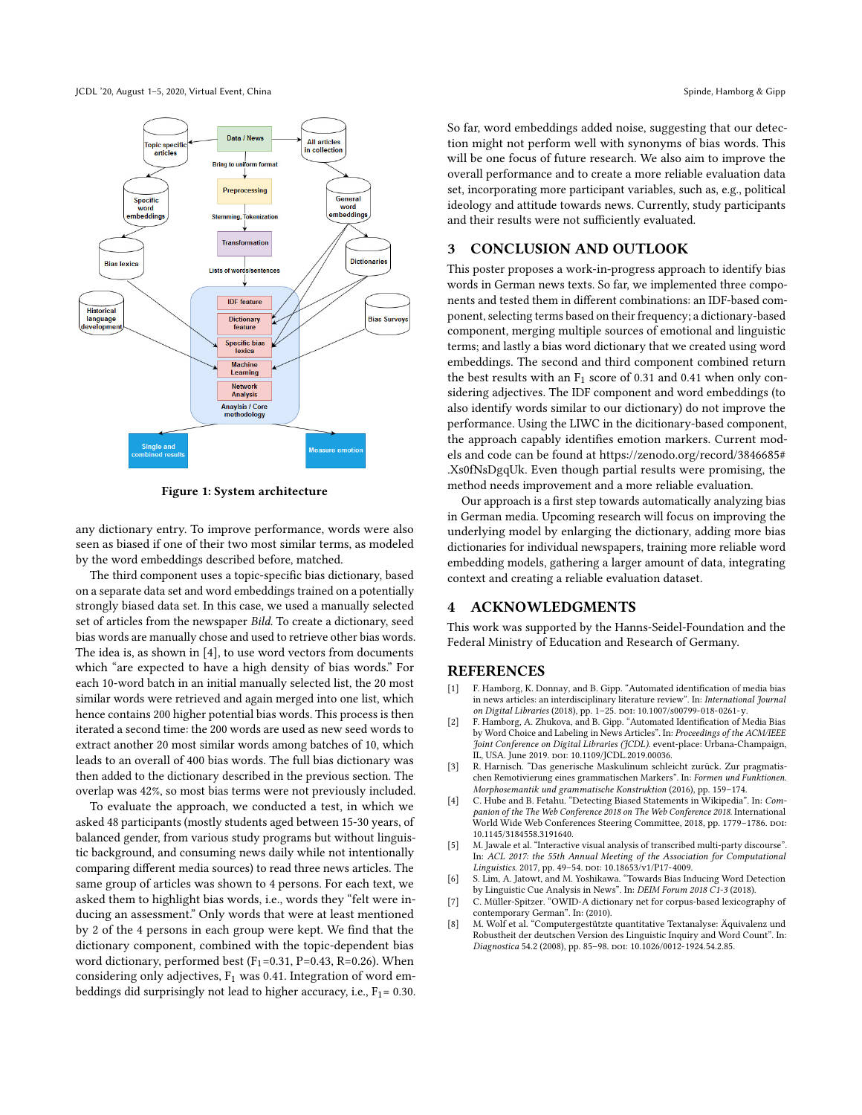JCDL '20, August 1–5, 2020, Virtual Event, China Spinde, Hamborg & Gipp Spinde, Hamborg & Gipp Spinde, Hamborg & Gipp

<span id="page-1-3"></span>

Figure 1: System architecture

any dictionary entry. To improve performance, words were also seen as biased if one of their two most similar terms, as modeled by the word embeddings described before, matched.

The third component uses a topic-specific bias dictionary, based on a separate data set and word embeddings trained on a potentially strongly biased data set. In this case, we used a manually selected set of articles from the newspaper Bild. To create a dictionary, seed bias words are manually chose and used to retrieve other bias words. The idea is, as shown in [\[4\]](#page-1-2), to use word vectors from documents which "are expected to have a high density of bias words." For each 10-word batch in an initial manually selected list, the 20 most similar words were retrieved and again merged into one list, which hence contains 200 higher potential bias words. This process is then iterated a second time: the 200 words are used as new seed words to extract another 20 most similar words among batches of 10, which leads to an overall of 400 bias words. The full bias dictionary was then added to the dictionary described in the previous section. The overlap was 42%, so most bias terms were not previously included.

To evaluate the approach, we conducted a test, in which we asked 48 participants (mostly students aged between 15-30 years, of balanced gender, from various study programs but without linguistic background, and consuming news daily while not intentionally comparing different media sources) to read three news articles. The same group of articles was shown to 4 persons. For each text, we asked them to highlight bias words, i.e., words they "felt were inducing an assessment." Only words that were at least mentioned by 2 of the 4 persons in each group were kept. We find that the dictionary component, combined with the topic-dependent bias word dictionary, performed best (F<sub>1</sub>=0.31, P=0.43, R=0.26). When considering only adjectives,  $F_1$  was 0.41. Integration of word embeddings did surprisingly not lead to higher accuracy, i.e.,  $F_1$  = 0.30. So far, word embeddings added noise, suggesting that our detection might not perform well with synonyms of bias words. This will be one focus of future research. We also aim to improve the overall performance and to create a more reliable evaluation data set, incorporating more participant variables, such as, e.g., political ideology and attitude towards news. Currently, study participants and their results were not sufficiently evaluated.

## 3 CONCLUSION AND OUTLOOK

This poster proposes a work-in-progress approach to identify bias words in German news texts. So far, we implemented three components and tested them in different combinations: an IDF-based component, selecting terms based on their frequency; a dictionary-based component, merging multiple sources of emotional and linguistic terms; and lastly a bias word dictionary that we created using word embeddings. The second and third component combined return the best results with an  $F_1$  score of 0.31 and 0.41 when only considering adjectives. The IDF component and word embeddings (to also identify words similar to our dictionary) do not improve the performance. Using the LIWC in the dicitionary-based component, the approach capably identifies emotion markers. Current models and code can be found at [https://zenodo.org/record/3846685#](https://zenodo.org/record/3846685#.Xs0fNsDgqUk) [.Xs0fNsDgqUk.](https://zenodo.org/record/3846685#.Xs0fNsDgqUk) Even though partial results were promising, the method needs improvement and a more reliable evaluation.

Our approach is a first step towards automatically analyzing bias in German media. Upcoming research will focus on improving the underlying model by enlarging the dictionary, adding more bias dictionaries for individual newspapers, training more reliable word embedding models, gathering a larger amount of data, integrating context and creating a reliable evaluation dataset.

## 4 ACKNOWLEDGMENTS

This work was supported by the Hanns-Seidel-Foundation and the Federal Ministry of Education and Research of Germany.

### REFERENCES

- <span id="page-1-0"></span>[1] F. Hamborg, K. Donnay, and B. Gipp. "Automated identification of media bias in news articles: an interdisciplinary literature review". In: *International Journal*<br>*on Digital Libraries* (2018), pp. 1–25. doi: [10.1007/s00799-018-0261-y.](https://doi.org/10.1007/s00799-018-0261-y)
- <span id="page-1-1"></span>[2] F. Hamborg, A. Zhukova, and B. Gipp. "Automated Identification of Media Bias by Word Choice and Labeling in News Articles". In: Proceedings of the ACM/IEEE Joint Conference on Digital Libraries (JCDL). event-place: Urbana-Champaign, IL, USA. June 2019. doi: [10.1109/JCDL.2019.00036.](https://doi.org/10.1109/JCDL.2019.00036)
- <span id="page-1-4"></span>[3] R. Harnisch. "Das generische Maskulinum schleicht zurück. Zur pragmatischen Remotivierung eines grammatischen Markers". In: Formen und Funktionen. Morphosemantik und grammatische Konstruktion (2016), pp. 159–174.
- <span id="page-1-2"></span>[4] C. Hube and B. Fetahu. "Detecting Biased Statements in Wikipedia". In: Companion of the The Web Conference 2018 on The Web Conference 2018. International<br>World Wide Web Conferences Steering Committee, 2018, pp. 1779–1786, po1: [10.1145/3184558.3191640.](https://doi.org/10.1145/3184558.3191640)
- <span id="page-1-7"></span>[5] M. Jawale et al. "Interactive visual analysis of transcribed multi-party discourse". In: ACL 2017: the 55th Annual Meeting of the Association for Computational Linguistics. 2017, pp. 49-54. DOI: [10.18653/v1/P17-4009.](https://doi.org/10.18653/v1/P17-4009)
- <span id="page-1-5"></span>[6] S. Lim, A. Jatowt, and M. Yoshikawa. "Towards Bias Inducing Word Detection by Linguistic Cue Analysis in News". In: DEIM Forum 2018 C1-3 (2018).
- <span id="page-1-8"></span>[7] C. Müller-Spitzer. "OWID-A dictionary net for corpus-based lexicography of contemporary German". In: (2010).
- <span id="page-1-6"></span>[8] M. Wolf et al. "Computergestützte quantitative Textanalyse: Äquivalenz und Robustheit der deutschen Version des Linguistic Inquiry and Word Count". In: Diagnostica 54.2 (2008), pp. 85-98. DOI: [10.1026/0012-1924.54.2.85.](https://doi.org/10.1026/0012-1924.54.2.85)